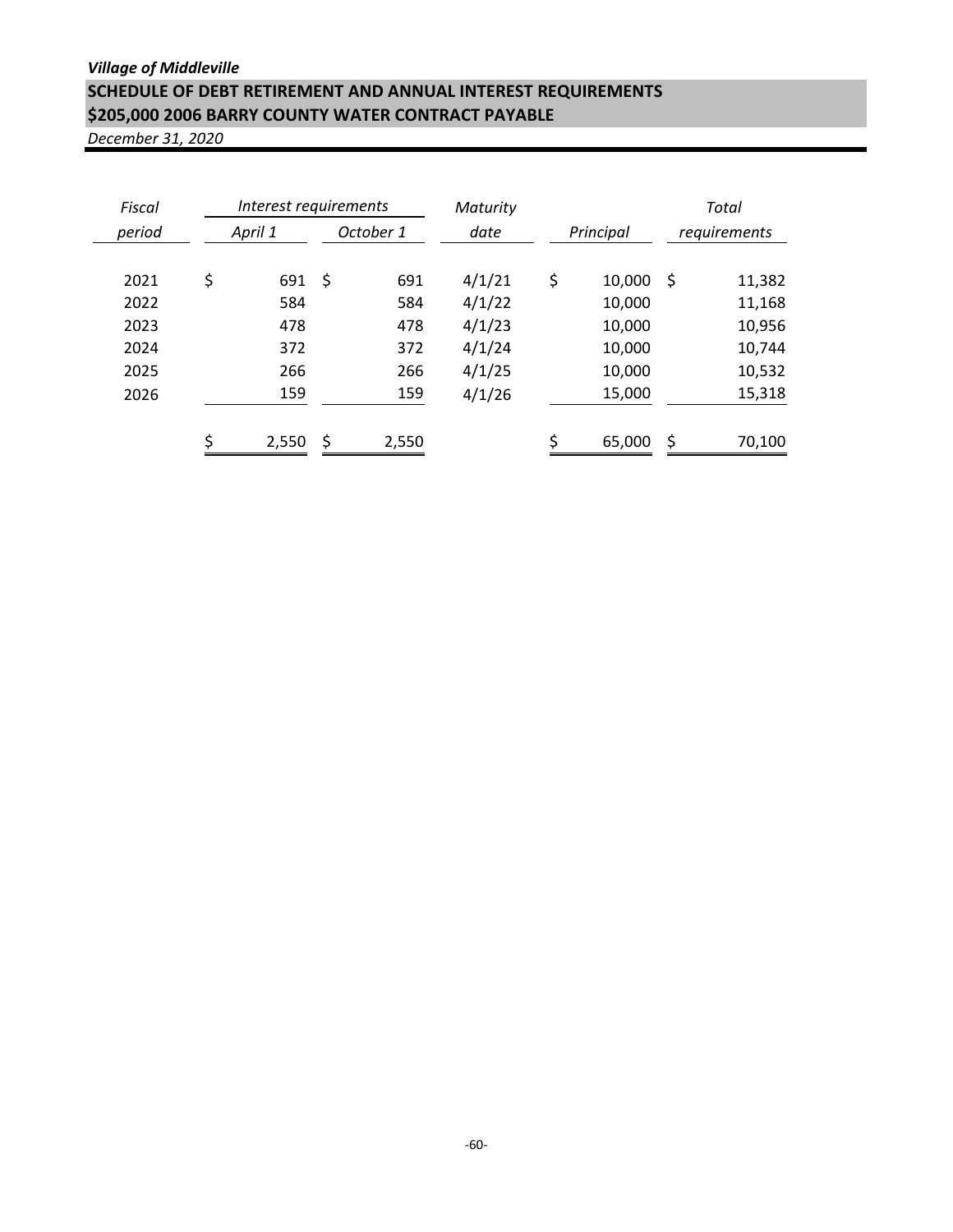## *Village of Middleville* **SCHEDULE OF DEBT RETIREMENT AND ANNUAL INTEREST REQUIREMENTS \$205,000 2006 BARRY COUNTY WATER CONTRACT PAYABLE**

| Fiscal |         | Interest requirements |           |       | Maturity |           |        |              | Total  |
|--------|---------|-----------------------|-----------|-------|----------|-----------|--------|--------------|--------|
| period | April 1 |                       | October 1 |       | date     | Principal |        | requirements |        |
| 2021   | \$      | 691                   | \$        | 691   | 4/1/21   | \$        | 10,000 | -\$          | 11,382 |
| 2022   |         | 584                   |           | 584   | 4/1/22   |           | 10,000 |              | 11,168 |
| 2023   |         | 478                   |           | 478   | 4/1/23   |           | 10,000 |              | 10,956 |
| 2024   |         | 372                   |           | 372   | 4/1/24   |           | 10,000 |              | 10,744 |
| 2025   |         | 266                   |           | 266   | 4/1/25   |           | 10,000 |              | 10,532 |
| 2026   |         | 159                   |           | 159   | 4/1/26   |           | 15,000 |              | 15,318 |
|        | \$      | 2,550                 | \$        | 2,550 |          | Ć         | 65,000 | \$           | 70,100 |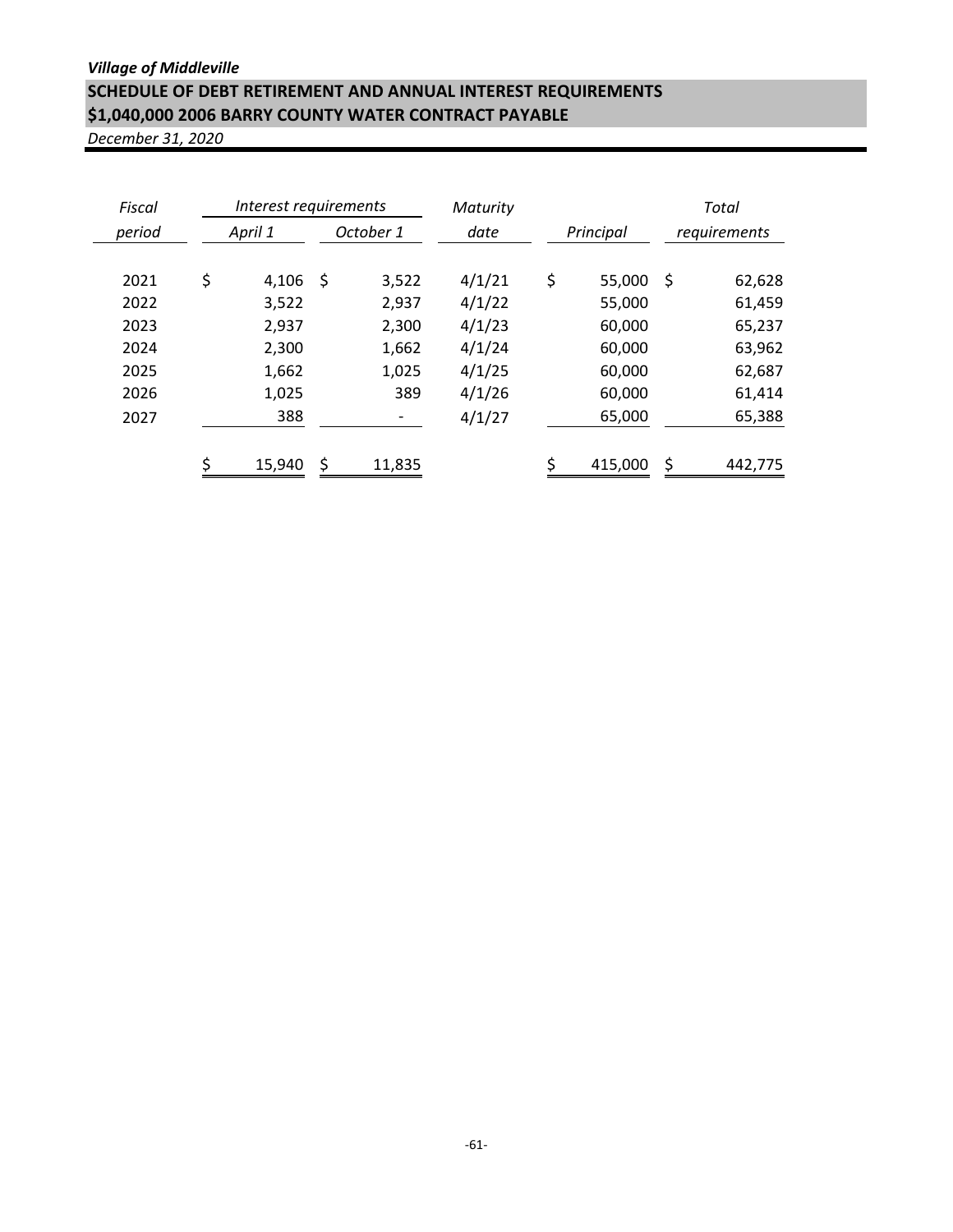## *Village of Middleville* **SCHEDULE OF DEBT RETIREMENT AND ANNUAL INTEREST REQUIREMENTS \$1,040,000 2006 BARRY COUNTY WATER CONTRACT PAYABLE**

| Fiscal | Interest requirements |    |        | Maturity |    |           | Total        |         |  |  |
|--------|-----------------------|----|--------|----------|----|-----------|--------------|---------|--|--|
| period | October 1<br>April 1  |    |        | date     |    | Principal | requirements |         |  |  |
|        |                       |    |        |          |    |           |              |         |  |  |
| 2021   | \$<br>4,106           | \$ | 3,522  | 4/1/21   | \$ | 55,000    | \$           | 62,628  |  |  |
| 2022   | 3,522                 |    | 2,937  | 4/1/22   |    | 55,000    |              | 61,459  |  |  |
| 2023   | 2,937                 |    | 2,300  | 4/1/23   |    | 60,000    |              | 65,237  |  |  |
| 2024   | 2,300                 |    | 1,662  | 4/1/24   |    | 60,000    |              | 63,962  |  |  |
| 2025   | 1,662                 |    | 1,025  | 4/1/25   |    | 60,000    |              | 62,687  |  |  |
| 2026   | 1,025                 |    | 389    | 4/1/26   |    | 60,000    |              | 61,414  |  |  |
| 2027   | 388                   |    | -      | 4/1/27   |    | 65,000    |              | 65,388  |  |  |
|        |                       |    |        |          |    |           |              |         |  |  |
|        | \$<br>15,940          | \$ | 11,835 |          | ς  | 415,000   | \$           | 442,775 |  |  |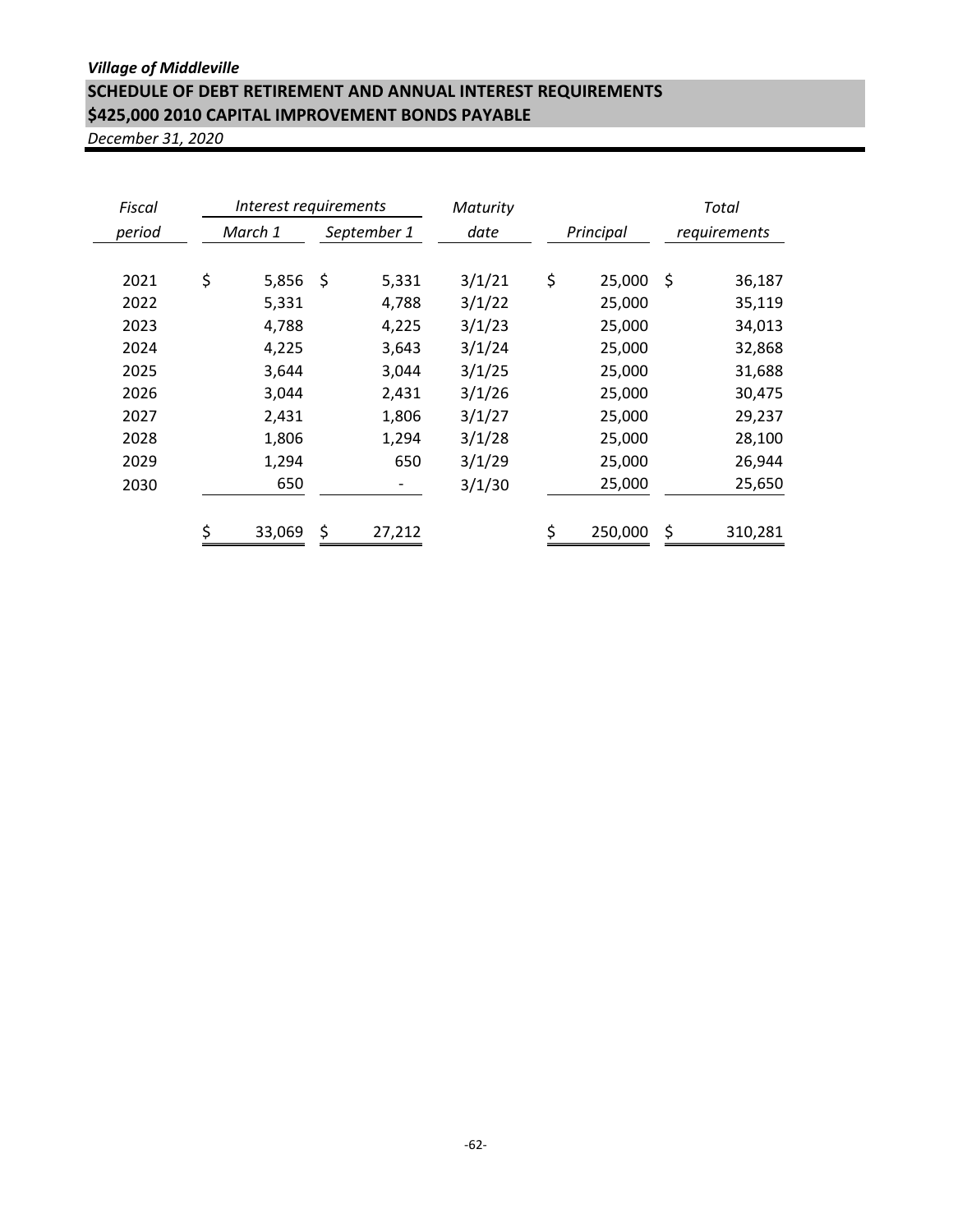## *Village of Middleville* **SCHEDULE OF DEBT RETIREMENT AND ANNUAL INTEREST REQUIREMENTS \$425,000 2010 CAPITAL IMPROVEMENT BONDS PAYABLE**

| Fiscal | Interest requirements |    |             | Maturity |    |           | Total        |         |
|--------|-----------------------|----|-------------|----------|----|-----------|--------------|---------|
| period | March 1               |    | September 1 | date     |    | Principal | requirements |         |
|        |                       |    |             |          |    |           |              |         |
| 2021   | \$<br>5,856           | \$ | 5,331       | 3/1/21   | \$ | 25,000    | -\$          | 36,187  |
| 2022   | 5,331                 |    | 4,788       | 3/1/22   |    | 25,000    |              | 35,119  |
| 2023   | 4,788                 |    | 4,225       | 3/1/23   |    | 25,000    |              | 34,013  |
| 2024   | 4,225                 |    | 3,643       | 3/1/24   |    | 25,000    |              | 32,868  |
| 2025   | 3,644                 |    | 3,044       | 3/1/25   |    | 25,000    |              | 31,688  |
| 2026   | 3,044                 |    | 2,431       | 3/1/26   |    | 25,000    |              | 30,475  |
| 2027   | 2,431                 |    | 1,806       | 3/1/27   |    | 25,000    |              | 29,237  |
| 2028   | 1,806                 |    | 1,294       | 3/1/28   |    | 25,000    |              | 28,100  |
| 2029   | 1,294                 |    | 650         | 3/1/29   |    | 25,000    |              | 26,944  |
| 2030   | 650                   |    |             | 3/1/30   |    | 25,000    |              | 25,650  |
|        |                       |    |             |          |    |           |              |         |
|        | \$<br>33,069          | \$ | 27,212      |          |    | 250,000   | \$           | 310,281 |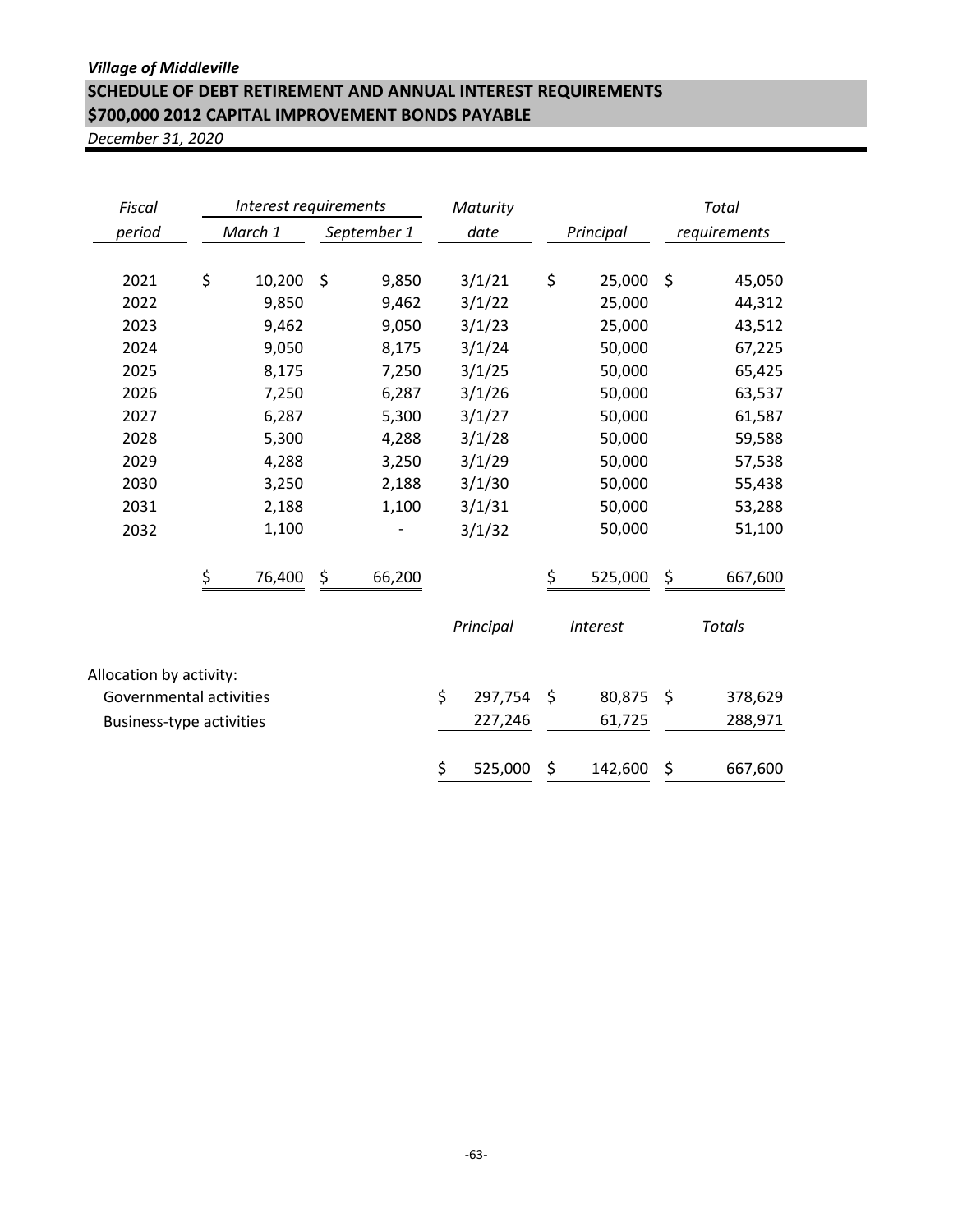## *Village of Middleville* **SCHEDULE OF DEBT RETIREMENT AND ANNUAL INTEREST REQUIREMENTS \$700,000 2012 CAPITAL IMPROVEMENT BONDS PAYABLE**

| Fiscal                          | Interest requirements |         |    |             | Maturity      |                 |    | <b>Total</b>  |
|---------------------------------|-----------------------|---------|----|-------------|---------------|-----------------|----|---------------|
| period                          |                       | March 1 |    | September 1 | date          | Principal       |    | requirements  |
| 2021                            | \$                    | 10,200  | \$ | 9,850       | 3/1/21        | \$<br>25,000    | \$ | 45,050        |
| 2022                            |                       | 9,850   |    | 9,462       | 3/1/22        | 25,000          |    | 44,312        |
| 2023                            |                       | 9,462   |    | 9,050       | 3/1/23        | 25,000          |    | 43,512        |
| 2024                            |                       | 9,050   |    | 8,175       | 3/1/24        | 50,000          |    | 67,225        |
| 2025                            |                       | 8,175   |    | 7,250       | 3/1/25        | 50,000          |    | 65,425        |
| 2026                            |                       | 7,250   |    | 6,287       | 3/1/26        | 50,000          |    | 63,537        |
| 2027                            |                       | 6,287   |    | 5,300       | 3/1/27        | 50,000          |    | 61,587        |
| 2028                            |                       | 5,300   |    | 4,288       | 3/1/28        | 50,000          |    | 59,588        |
| 2029                            |                       | 4,288   |    | 3,250       | 3/1/29        | 50,000          |    | 57,538        |
| 2030                            |                       | 3,250   |    | 2,188       | 3/1/30        | 50,000          |    | 55,438        |
| 2031                            |                       | 2,188   |    | 1,100       | 3/1/31        | 50,000          |    | 53,288        |
| 2032                            |                       | 1,100   |    |             | 3/1/32        | 50,000          |    | 51,100        |
|                                 | \$                    | 76,400  | \$ | 66,200      |               | \$<br>525,000   | \$ | 667,600       |
|                                 |                       |         |    |             | Principal     | <b>Interest</b> |    | <b>Totals</b> |
| Allocation by activity:         |                       |         |    |             |               |                 |    |               |
| Governmental activities         |                       |         |    |             | \$<br>297,754 | \$<br>80,875    | \$ | 378,629       |
| <b>Business-type activities</b> |                       |         |    |             | 227,246       | 61,725          |    | 288,971       |
|                                 |                       |         |    |             | \$<br>525,000 | \$<br>142,600   | \$ | 667,600       |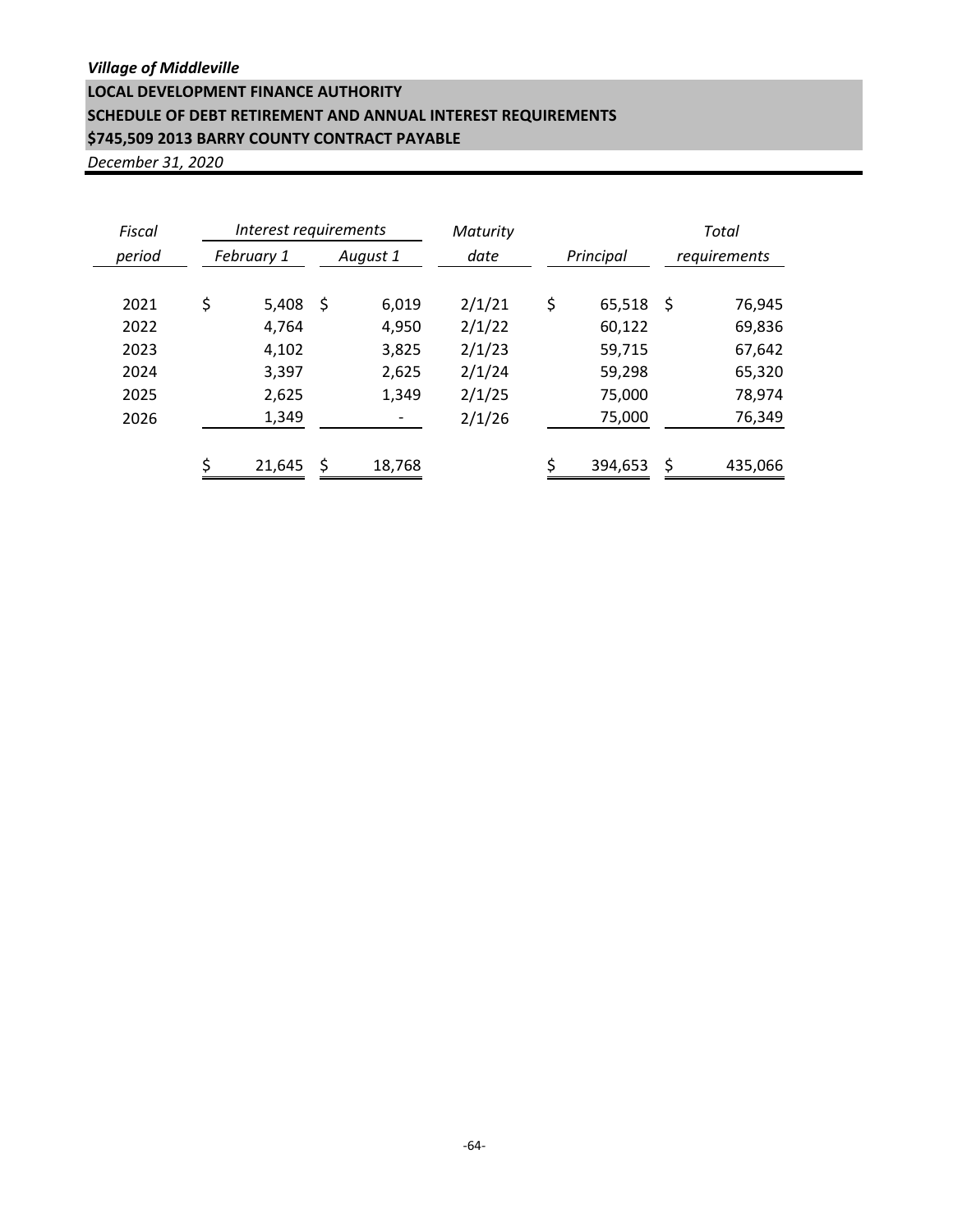*Village of Middleville*

# **LOCAL DEVELOPMENT FINANCE AUTHORITY**

## **SCHEDULE OF DEBT RETIREMENT AND ANNUAL INTEREST REQUIREMENTS \$745,509 2013 BARRY COUNTY CONTRACT PAYABLE**

| Fiscal |                        | Interest requirements |    |        | Maturity  |    |         |              | Total   |
|--------|------------------------|-----------------------|----|--------|-----------|----|---------|--------------|---------|
| period | February 1<br>August 1 |                       |    | date   | Principal |    |         | requirements |         |
| 2021   | \$                     | 5,408                 | \$ | 6,019  | 2/1/21    | \$ | 65,518  | \$           | 76,945  |
| 2022   |                        | 4,764                 |    | 4,950  | 2/1/22    |    | 60,122  |              | 69,836  |
| 2023   |                        | 4,102                 |    | 3,825  | 2/1/23    |    | 59,715  |              | 67,642  |
| 2024   |                        | 3,397                 |    | 2,625  | 2/1/24    |    | 59,298  |              | 65,320  |
| 2025   |                        | 2,625                 |    | 1,349  | 2/1/25    |    | 75,000  |              | 78,974  |
| 2026   |                        | 1,349                 |    |        | 2/1/26    |    | 75,000  |              | 76,349  |
|        | ς                      | 21,645                | \$ | 18,768 |           |    | 394,653 | \$           | 435,066 |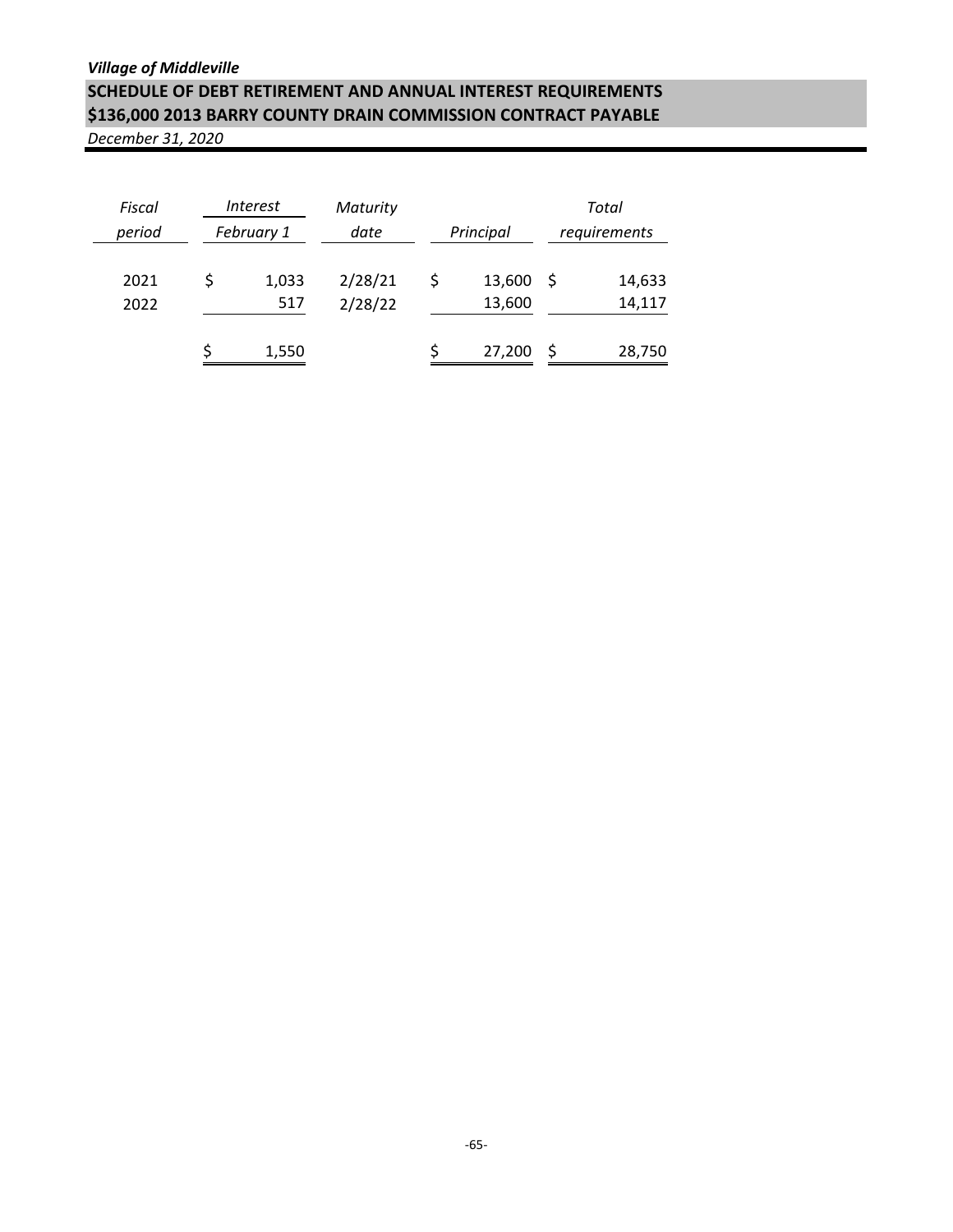| Fiscal<br>period | <i>Interest</i><br>February 1 |              | Maturity<br>date   | Principal              | Total<br>requirements |                  |  |
|------------------|-------------------------------|--------------|--------------------|------------------------|-----------------------|------------------|--|
|                  |                               |              |                    |                        |                       |                  |  |
| 2021<br>2022     |                               | 1,033<br>517 | 2/28/21<br>2/28/22 | \$<br>13,600<br>13,600 | -S                    | 14,633<br>14,117 |  |
|                  |                               | 1,550        |                    | 27,200                 |                       | 28,750           |  |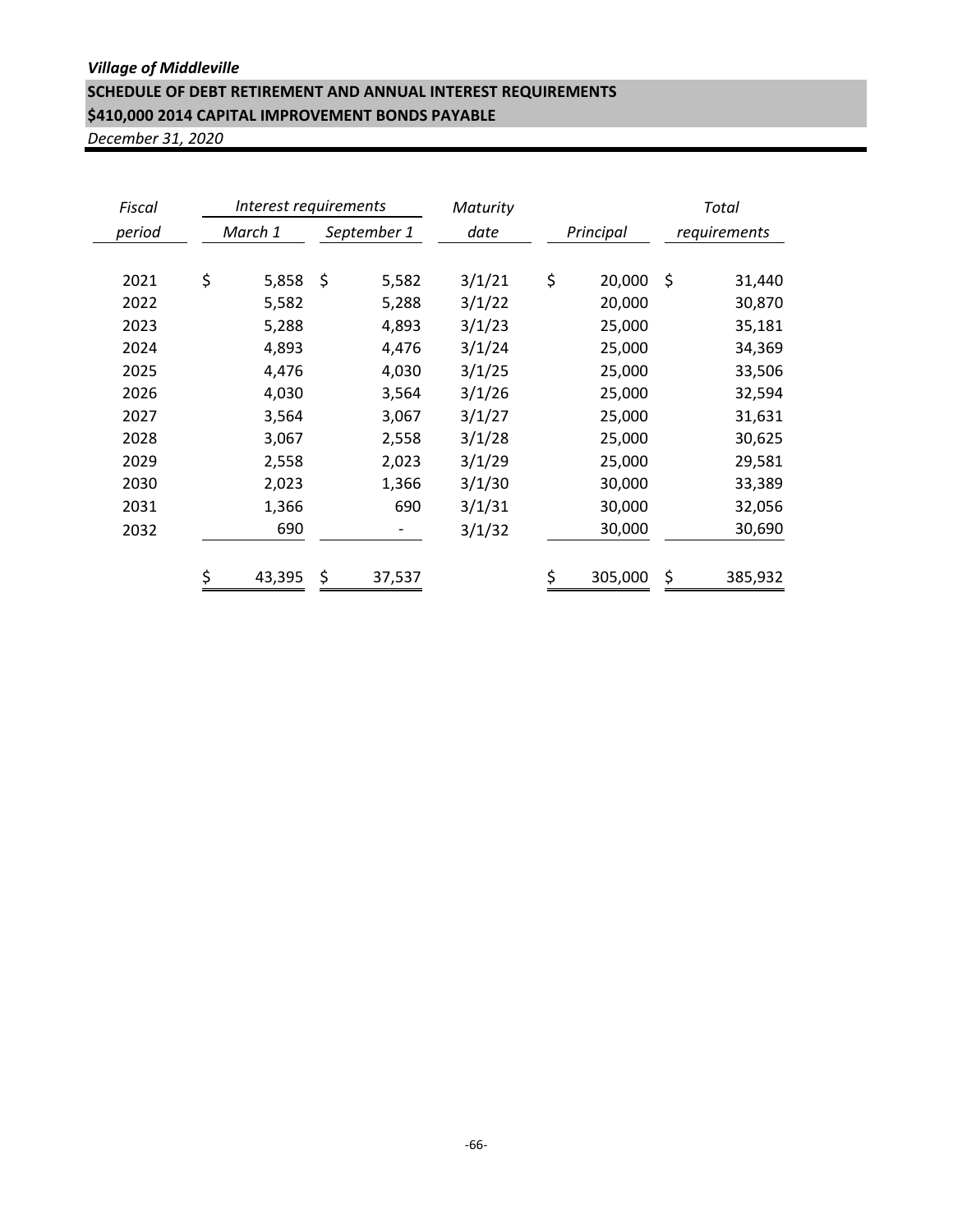#### *Village of Middleville*

## **SCHEDULE OF DEBT RETIREMENT AND ANNUAL INTEREST REQUIREMENTS \$410,000 2014 CAPITAL IMPROVEMENT BONDS PAYABLE**

| Fiscal | Interest requirements |    |             | Maturity |           |         |              | Total   |
|--------|-----------------------|----|-------------|----------|-----------|---------|--------------|---------|
| period | March 1               |    | September 1 | date     | Principal |         | requirements |         |
|        |                       |    |             |          |           |         |              |         |
| 2021   | \$<br>5,858           | \$ | 5,582       | 3/1/21   | \$        | 20,000  | \$           | 31,440  |
| 2022   | 5,582                 |    | 5,288       | 3/1/22   |           | 20,000  |              | 30,870  |
| 2023   | 5,288                 |    | 4,893       | 3/1/23   |           | 25,000  |              | 35,181  |
| 2024   | 4,893                 |    | 4,476       | 3/1/24   |           | 25,000  |              | 34,369  |
| 2025   | 4,476                 |    | 4,030       | 3/1/25   |           | 25,000  |              | 33,506  |
| 2026   | 4,030                 |    | 3,564       | 3/1/26   |           | 25,000  |              | 32,594  |
| 2027   | 3,564                 |    | 3,067       | 3/1/27   |           | 25,000  |              | 31,631  |
| 2028   | 3,067                 |    | 2,558       | 3/1/28   |           | 25,000  |              | 30,625  |
| 2029   | 2,558                 |    | 2,023       | 3/1/29   |           | 25,000  |              | 29,581  |
| 2030   | 2,023                 |    | 1,366       | 3/1/30   |           | 30,000  |              | 33,389  |
| 2031   | 1,366                 |    | 690         | 3/1/31   |           | 30,000  |              | 32,056  |
| 2032   | 690                   |    |             | 3/1/32   |           | 30,000  |              | 30,690  |
|        |                       |    |             |          |           |         |              |         |
|        | \$<br>43,395          |    | 37,537      |          | \$        | 305,000 | \$           | 385,932 |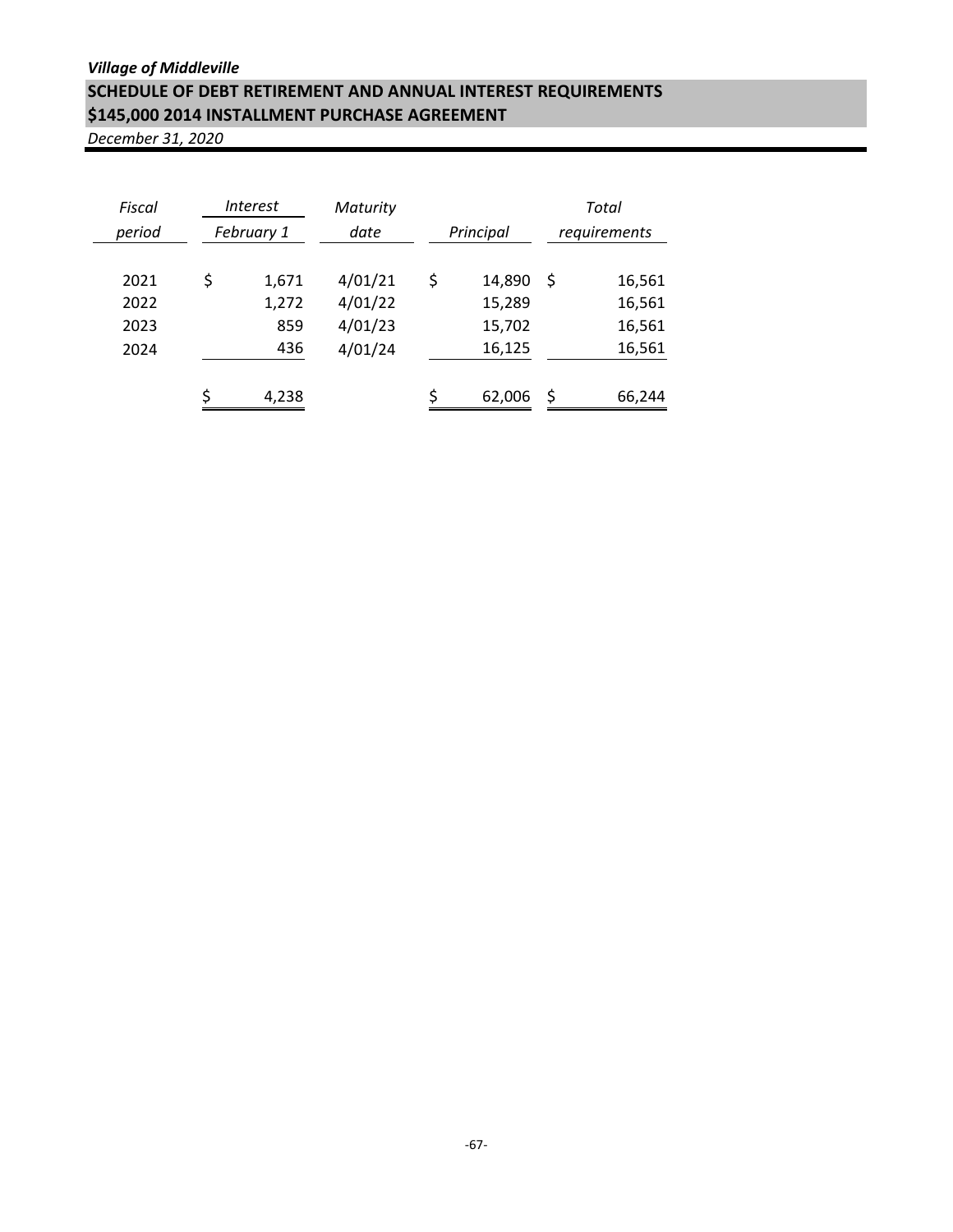| Fiscal<br>period             | <i>Interest</i><br>February 1      | Maturity<br>date                         |    | Principal                            | Total<br>requirements |                                      |  |
|------------------------------|------------------------------------|------------------------------------------|----|--------------------------------------|-----------------------|--------------------------------------|--|
| 2021<br>2022<br>2023<br>2024 | \$<br>1,671<br>1,272<br>859<br>436 | 4/01/21<br>4/01/22<br>4/01/23<br>4/01/24 | \$ | 14,890<br>15,289<br>15,702<br>16,125 | Ŝ                     | 16,561<br>16,561<br>16,561<br>16,561 |  |
|                              | 4,238                              |                                          |    | 62,006                               | S                     | 66,244                               |  |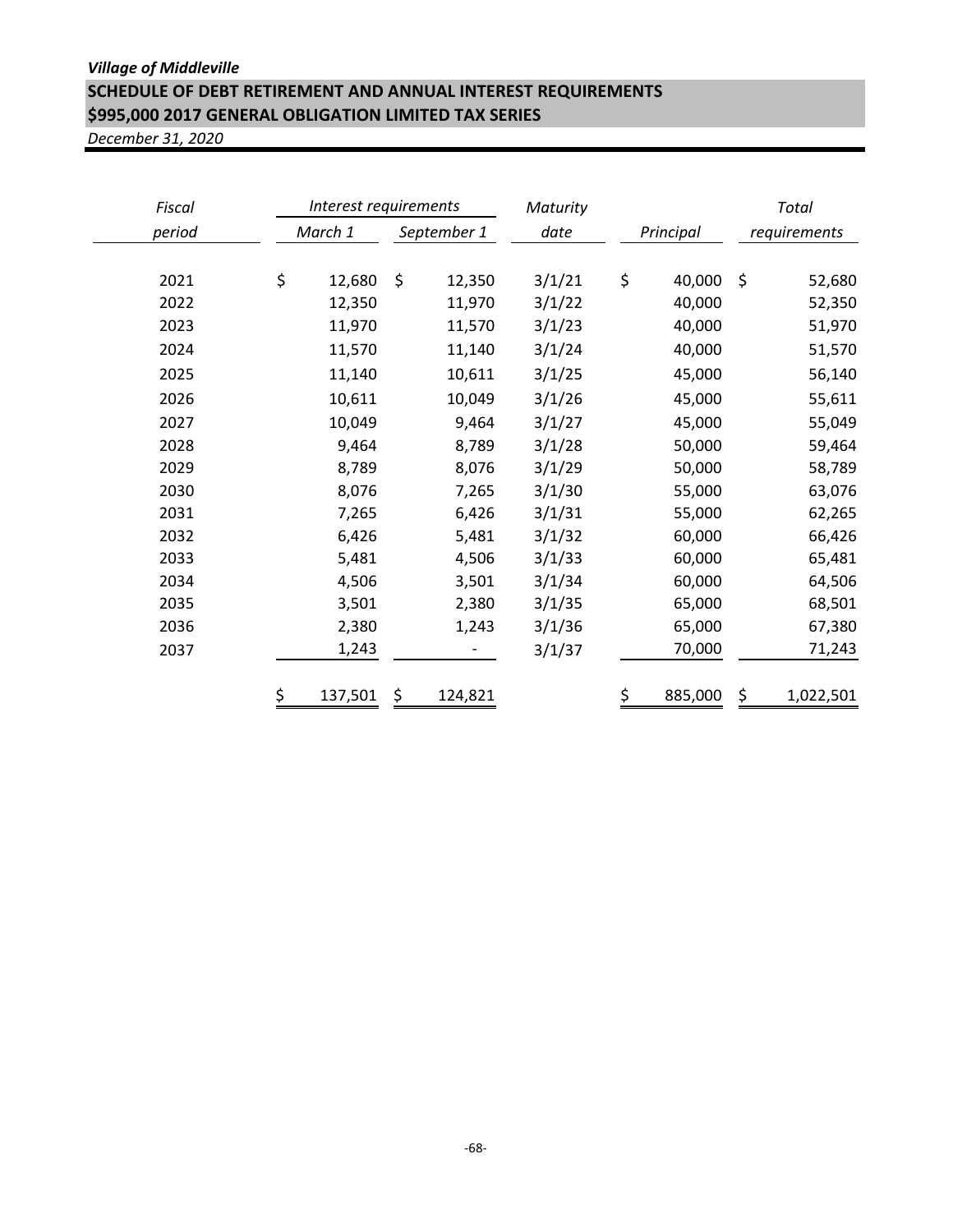## *Village of Middleville* **SCHEDULE OF DEBT RETIREMENT AND ANNUAL INTEREST REQUIREMENTS \$995,000 2017 GENERAL OBLIGATION LIMITED TAX SERIES**

| Fiscal | Interest requirements |               | Maturity |              |         | Total        |
|--------|-----------------------|---------------|----------|--------------|---------|--------------|
| period | March 1               | September 1   | date     | Principal    |         | requirements |
|        |                       |               |          |              |         |              |
| 2021   | \$<br>12,680          | \$<br>12,350  | 3/1/21   | \$<br>40,000 | $\zeta$ | 52,680       |
| 2022   | 12,350                | 11,970        | 3/1/22   | 40,000       |         | 52,350       |
| 2023   | 11,970                | 11,570        | 3/1/23   | 40,000       |         | 51,970       |
| 2024   | 11,570                | 11,140        | 3/1/24   | 40,000       |         | 51,570       |
| 2025   | 11,140                | 10,611        | 3/1/25   | 45,000       |         | 56,140       |
| 2026   | 10,611                | 10,049        | 3/1/26   | 45,000       |         | 55,611       |
| 2027   | 10,049                | 9,464         | 3/1/27   | 45,000       |         | 55,049       |
| 2028   | 9,464                 | 8,789         | 3/1/28   | 50,000       |         | 59,464       |
| 2029   | 8,789                 | 8,076         | 3/1/29   | 50,000       |         | 58,789       |
| 2030   | 8,076                 | 7,265         | 3/1/30   | 55,000       |         | 63,076       |
| 2031   | 7,265                 | 6,426         | 3/1/31   | 55,000       |         | 62,265       |
| 2032   | 6,426                 | 5,481         | 3/1/32   | 60,000       |         | 66,426       |
| 2033   | 5,481                 | 4,506         | 3/1/33   | 60,000       |         | 65,481       |
| 2034   | 4,506                 | 3,501         | 3/1/34   | 60,000       |         | 64,506       |
| 2035   | 3,501                 | 2,380         | 3/1/35   | 65,000       |         | 68,501       |
| 2036   | 2,380                 | 1,243         | 3/1/36   | 65,000       |         | 67,380       |
| 2037   | 1,243                 |               | 3/1/37   | 70,000       |         | 71,243       |
|        |                       |               |          |              |         |              |
|        | \$<br>137,501         | \$<br>124,821 |          | 885,000      | \$      | 1,022,501    |